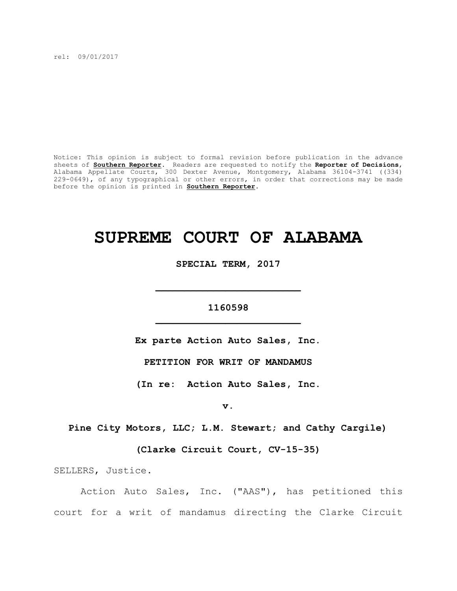rel: 09/01/2017

Notice: This opinion is subject to formal revision before publication in the advance sheets of **Southern Reporter**. Readers are requested to notify the **Reporter of Decisions**, Alabama Appellate Courts, 300 Dexter Avenue, Montgomery, Alabama 36104-3741 ((334) 229-0649), of any typographical or other errors, in order that corrections may be made before the opinion is printed in **Southern Reporter**.

# **SUPREME COURT OF ALABAMA**

**SPECIAL TERM, 2017**

## **1160598 \_\_\_\_\_\_\_\_\_\_\_\_\_\_\_\_\_\_\_\_\_\_\_\_\_**

**\_\_\_\_\_\_\_\_\_\_\_\_\_\_\_\_\_\_\_\_\_\_\_\_\_**

**Ex parte Action Auto Sales, Inc.**

**PETITION FOR WRIT OF MANDAMUS**

**(In re: Action Auto Sales, Inc.**

**v.**

**Pine City Motors, LLC; L.M. Stewart; and Cathy Cargile)**

**(Clarke Circuit Court, CV-15-35)**

SELLERS, Justice.

Action Auto Sales, Inc. ("AAS"), has petitioned this court for a writ of mandamus directing the Clarke Circuit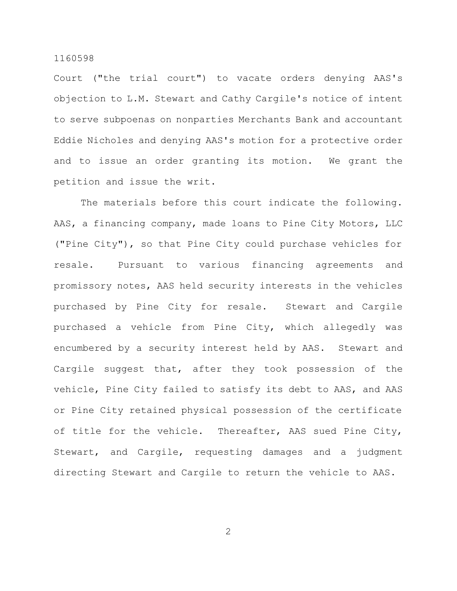Court ("the trial court") to vacate orders denying AAS's objection to L.M. Stewart and Cathy Cargile's notice of intent to serve subpoenas on nonparties Merchants Bank and accountant Eddie Nicholes and denying AAS's motion for a protective order and to issue an order granting its motion. We grant the petition and issue the writ.

The materials before this court indicate the following. AAS, a financing company, made loans to Pine City Motors, LLC ("Pine City"), so that Pine City could purchase vehicles for resale. Pursuant to various financing agreements and promissory notes, AAS held security interests in the vehicles purchased by Pine City for resale. Stewart and Cargile purchased a vehicle from Pine City, which allegedly was encumbered by a security interest held by AAS. Stewart and Cargile suggest that, after they took possession of the vehicle, Pine City failed to satisfy its debt to AAS, and AAS or Pine City retained physical possession of the certificate of title for the vehicle. Thereafter, AAS sued Pine City, Stewart, and Cargile, requesting damages and a judgment directing Stewart and Cargile to return the vehicle to AAS.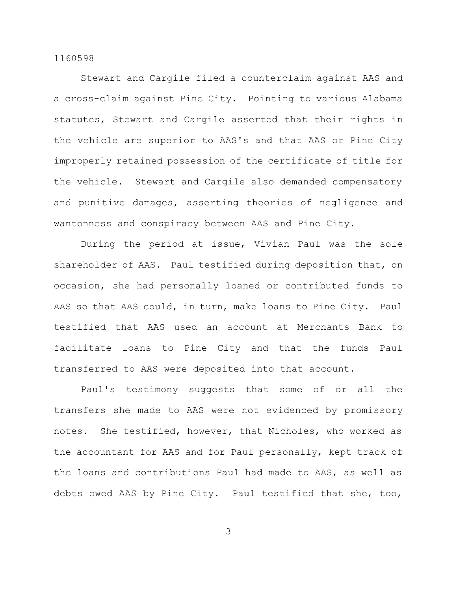Stewart and Cargile filed a counterclaim against AAS and a cross-claim against Pine City. Pointing to various Alabama statutes, Stewart and Cargile asserted that their rights in the vehicle are superior to AAS's and that AAS or Pine City improperly retained possession of the certificate of title for the vehicle. Stewart and Cargile also demanded compensatory and punitive damages, asserting theories of negligence and wantonness and conspiracy between AAS and Pine City.

During the period at issue, Vivian Paul was the sole shareholder of AAS. Paul testified during deposition that, on occasion, she had personally loaned or contributed funds to AAS so that AAS could, in turn, make loans to Pine City. Paul testified that AAS used an account at Merchants Bank to facilitate loans to Pine City and that the funds Paul transferred to AAS were deposited into that account.

Paul's testimony suggests that some of or all the transfers she made to AAS were not evidenced by promissory notes. She testified, however, that Nicholes, who worked as the accountant for AAS and for Paul personally, kept track of the loans and contributions Paul had made to AAS, as well as debts owed AAS by Pine City. Paul testified that she, too,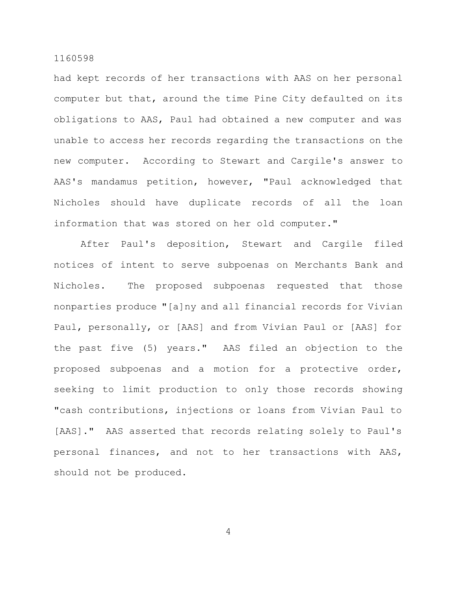had kept records of her transactions with AAS on her personal computer but that, around the time Pine City defaulted on its obligations to AAS, Paul had obtained a new computer and was unable to access her records regarding the transactions on the new computer. According to Stewart and Cargile's answer to AAS's mandamus petition, however, "Paul acknowledged that Nicholes should have duplicate records of all the loan information that was stored on her old computer."

After Paul's deposition, Stewart and Cargile filed notices of intent to serve subpoenas on Merchants Bank and Nicholes. The proposed subpoenas requested that those nonparties produce "[a]ny and all financial records for Vivian Paul, personally, or [AAS] and from Vivian Paul or [AAS] for the past five (5) years." AAS filed an objection to the proposed subpoenas and a motion for a protective order, seeking to limit production to only those records showing "cash contributions, injections or loans from Vivian Paul to [AAS]." AAS asserted that records relating solely to Paul's personal finances, and not to her transactions with AAS, should not be produced.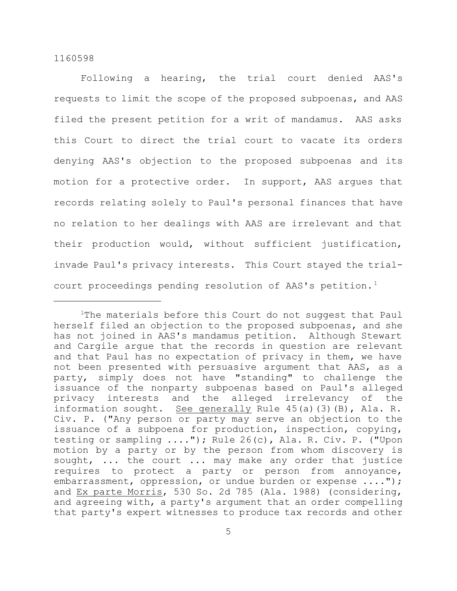Following a hearing, the trial court denied AAS's requests to limit the scope of the proposed subpoenas, and AAS filed the present petition for a writ of mandamus. AAS asks this Court to direct the trial court to vacate its orders denying AAS's objection to the proposed subpoenas and its motion for a protective order. In support, AAS argues that records relating solely to Paul's personal finances that have no relation to her dealings with AAS are irrelevant and that their production would, without sufficient justification, invade Paul's privacy interests. This Court stayed the trialcourt proceedings pending resolution of AAS's petition.<sup>1</sup>

<sup>&</sup>lt;sup>1</sup>The materials before this Court do not suggest that Paul herself filed an objection to the proposed subpoenas, and she has not joined in AAS's mandamus petition. Although Stewart and Cargile argue that the records in question are relevant and that Paul has no expectation of privacy in them, we have not been presented with persuasive argument that AAS, as a party, simply does not have "standing" to challenge the issuance of the nonparty subpoenas based on Paul's alleged privacy interests and the alleged irrelevancy of the information sought. See generally Rule 45(a)(3)(B), Ala. R. Civ. P. ("Any person or party may serve an objection to the issuance of a subpoena for production, inspection, copying, testing or sampling ...."); Rule 26(c), Ala. R. Civ. P. ("Upon motion by a party or by the person from whom discovery is sought, ... the court ... may make any order that justice requires to protect a party or person from annoyance, embarrassment, oppression, or undue burden or expense ...."); and Ex parte Morris, 530 So. 2d 785 (Ala. 1988) (considering, and agreeing with, a party's argument that an order compelling that party's expert witnesses to produce tax records and other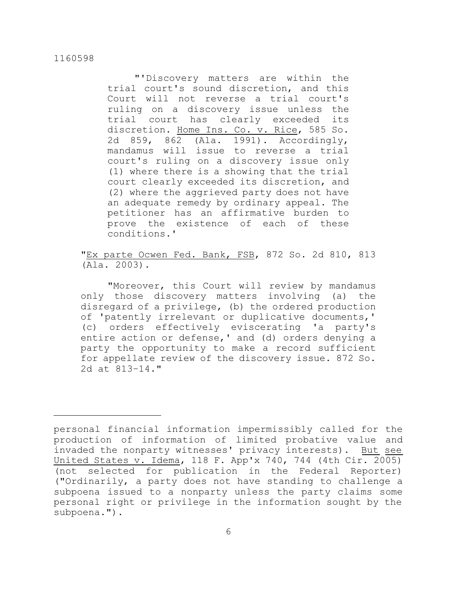"'Discovery matters are within the trial court's sound discretion, and this Court will not reverse a trial court's ruling on a discovery issue unless the trial court has clearly exceeded its discretion. Home Ins. Co. v. Rice, 585 So. 2d 859, 862 (Ala. 1991). Accordingly, mandamus will issue to reverse a trial court's ruling on a discovery issue only (1) where there is a showing that the trial court clearly exceeded its discretion, and (2) where the aggrieved party does not have an adequate remedy by ordinary appeal. The petitioner has an affirmative burden to prove the existence of each of these conditions.'

"Ex parte Ocwen Fed. Bank, FSB, 872 So. 2d 810, 813 (Ala. 2003).

"Moreover, this Court will review by mandamus only those discovery matters involving (a) the disregard of a privilege, (b) the ordered production of 'patently irrelevant or duplicative documents,' (c) orders effectively eviscerating 'a party's entire action or defense,' and (d) orders denying a party the opportunity to make a record sufficient for appellate review of the discovery issue. 872 So. 2d at 813–14."

personal financial information impermissibly called for the production of information of limited probative value and invaded the nonparty witnesses' privacy interests). But see United States v. Idema, 118 F. App'x 740, 744 (4th Cir. 2005) (not selected for publication in the Federal Reporter) ("Ordinarily, a party does not have standing to challenge a subpoena issued to a nonparty unless the party claims some personal right or privilege in the information sought by the subpoena.").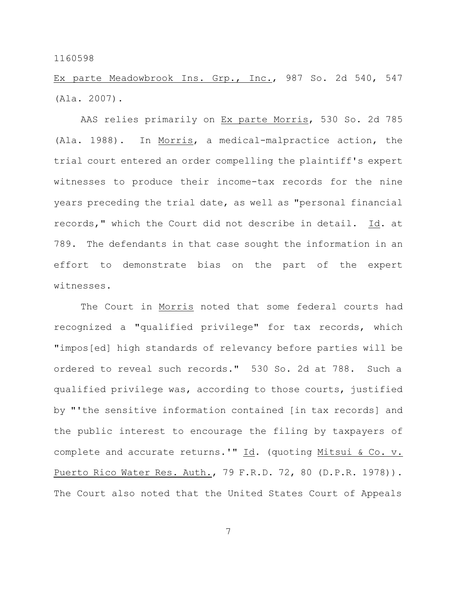Ex parte Meadowbrook Ins. Grp., Inc., 987 So. 2d 540, 547 (Ala. 2007).

AAS relies primarily on Ex parte Morris, 530 So. 2d 785 (Ala. 1988). In Morris, a medical-malpractice action, the trial court entered an order compelling the plaintiff's expert witnesses to produce their income-tax records for the nine years preceding the trial date, as well as "personal financial records," which the Court did not describe in detail. Id. at 789. The defendants in that case sought the information in an effort to demonstrate bias on the part of the expert witnesses.

The Court in Morris noted that some federal courts had recognized a "qualified privilege" for tax records, which "impos[ed] high standards of relevancy before parties will be ordered to reveal such records." 530 So. 2d at 788. Such a qualified privilege was, according to those courts, justified by "'the sensitive information contained [in tax records] and the public interest to encourage the filing by taxpayers of complete and accurate returns.'" Id. (quoting Mitsui & Co. v. Puerto Rico Water Res. Auth., 79 F.R.D. 72, 80 (D.P.R. 1978)). The Court also noted that the United States Court of Appeals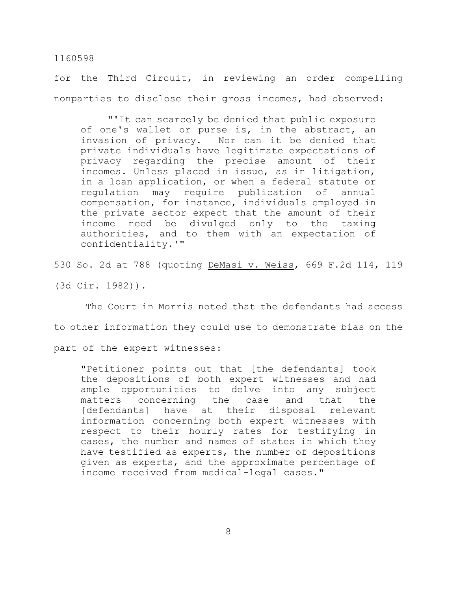for the Third Circuit, in reviewing an order compelling nonparties to disclose their gross incomes, had observed:

"'It can scarcely be denied that public exposure of one's wallet or purse is, in the abstract, an invasion of privacy. Nor can it be denied that private individuals have legitimate expectations of privacy regarding the precise amount of their incomes. Unless placed in issue, as in litigation, in a loan application, or when a federal statute or regulation may require publication of annual compensation, for instance, individuals employed in the private sector expect that the amount of their income need be divulged only to the taxing authorities, and to them with an expectation of confidentiality.'"

530 So. 2d at 788 (quoting DeMasi v. Weiss, 669 F.2d 114, 119

(3d Cir. 1982)).

The Court in Morris noted that the defendants had access to other information they could use to demonstrate bias on the

part of the expert witnesses:

"Petitioner points out that [the defendants] took the depositions of both expert witnesses and had ample opportunities to delve into any subject matters concerning the case and that the [defendants] have at their disposal relevant information concerning both expert witnesses with respect to their hourly rates for testifying in cases, the number and names of states in which they have testified as experts, the number of depositions given as experts, and the approximate percentage of income received from medical-legal cases."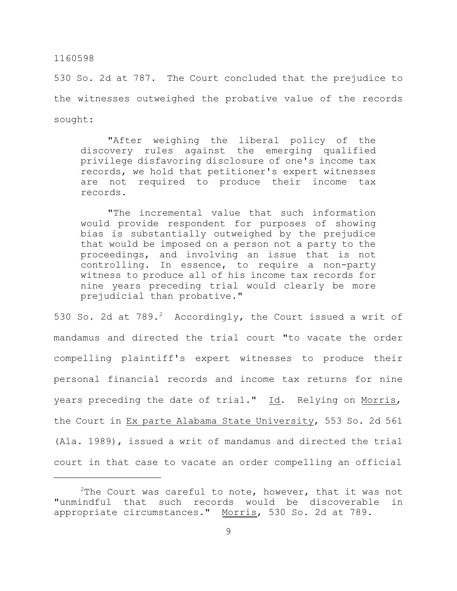530 So. 2d at 787. The Court concluded that the prejudice to the witnesses outweighed the probative value of the records sought:

"After weighing the liberal policy of the discovery rules against the emerging qualified privilege disfavoring disclosure of one's income tax records, we hold that petitioner's expert witnesses are not required to produce their income tax records.

"The incremental value that such information would provide respondent for purposes of showing bias is substantially outweighed by the prejudice that would be imposed on a person not a party to the proceedings, and involving an issue that is not controlling. In essence, to require a non-party witness to produce all of his income tax records for nine years preceding trial would clearly be more prejudicial than probative."

530 So. 2d at  $789.^2$  Accordingly, the Court issued a writ of mandamus and directed the trial court "to vacate the order compelling plaintiff's expert witnesses to produce their personal financial records and income tax returns for nine years preceding the date of trial." Id. Relying on Morris, the Court in Ex parte Alabama State University, 553 So. 2d 561 (Ala. 1989), issued a writ of mandamus and directed the trial court in that case to vacate an order compelling an official

<sup>&</sup>lt;sup>2</sup>The Court was careful to note, however, that it was not "unmindful that such records would be discoverable in appropriate circumstances." Morris, 530 So. 2d at 789.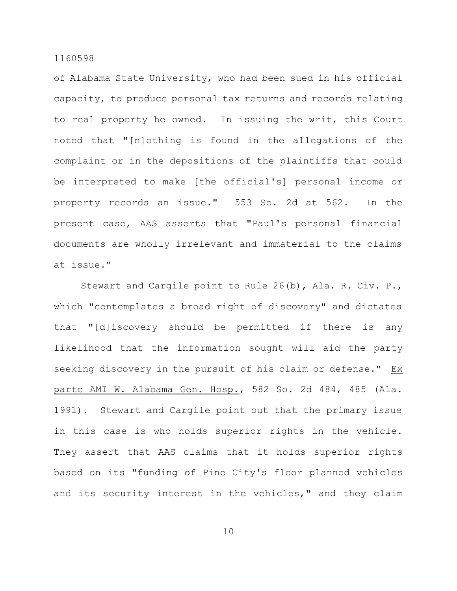of Alabama State University, who had been sued in his official capacity, to produce personal tax returns and records relating to real property he owned. In issuing the writ, this Court noted that "[n]othing is found in the allegations of the complaint or in the depositions of the plaintiffs that could be interpreted to make [the official's] personal income or property records an issue." 553 So. 2d at 562. In the present case, AAS asserts that "Paul's personal financial documents are wholly irrelevant and immaterial to the claims at issue."

Stewart and Cargile point to Rule 26(b), Ala. R. Civ. P., which "contemplates a broad right of discovery" and dictates that "[d]iscovery should be permitted if there is any likelihood that the information sought will aid the party seeking discovery in the pursuit of his claim or defense." Ex parte AMI W. Alabama Gen. Hosp., 582 So. 2d 484, 485 (Ala. 1991). Stewart and Cargile point out that the primary issue in this case is who holds superior rights in the vehicle. They assert that AAS claims that it holds superior rights based on its "funding of Pine City's floor planned vehicles and its security interest in the vehicles," and they claim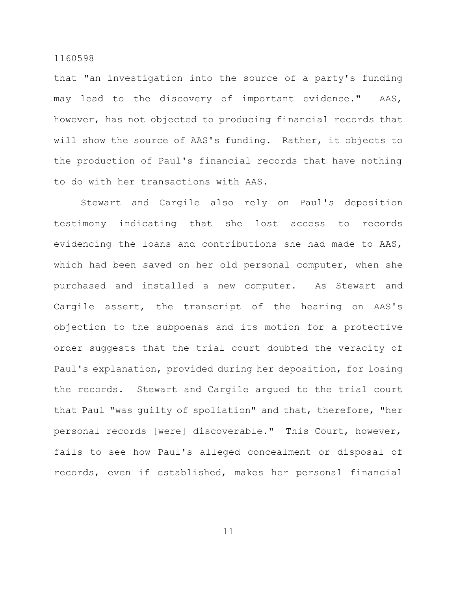that "an investigation into the source of a party's funding may lead to the discovery of important evidence." AAS, however, has not objected to producing financial records that will show the source of AAS's funding. Rather, it objects to the production of Paul's financial records that have nothing to do with her transactions with AAS.

Stewart and Cargile also rely on Paul's deposition testimony indicating that she lost access to records evidencing the loans and contributions she had made to AAS, which had been saved on her old personal computer, when she purchased and installed a new computer. As Stewart and Cargile assert, the transcript of the hearing on AAS's objection to the subpoenas and its motion for a protective order suggests that the trial court doubted the veracity of Paul's explanation, provided during her deposition, for losing the records. Stewart and Cargile argued to the trial court that Paul "was guilty of spoliation" and that, therefore, "her personal records [were] discoverable." This Court, however, fails to see how Paul's alleged concealment or disposal of records, even if established, makes her personal financial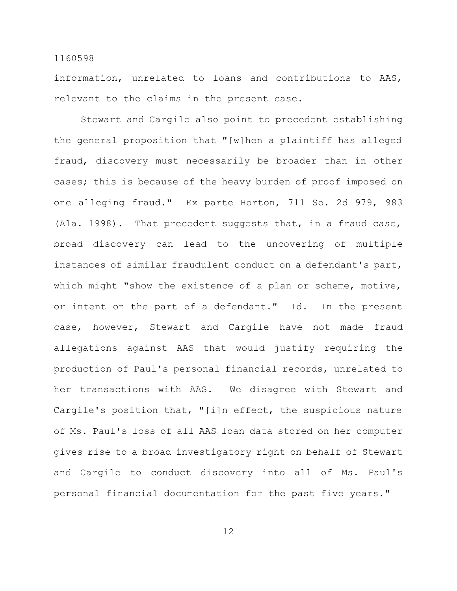information, unrelated to loans and contributions to AAS, relevant to the claims in the present case.

Stewart and Cargile also point to precedent establishing the general proposition that "[w]hen a plaintiff has alleged fraud, discovery must necessarily be broader than in other cases; this is because of the heavy burden of proof imposed on one alleging fraud." Ex parte Horton, 711 So. 2d 979, 983 (Ala. 1998). That precedent suggests that, in a fraud case, broad discovery can lead to the uncovering of multiple instances of similar fraudulent conduct on a defendant's part, which might "show the existence of a plan or scheme, motive, or intent on the part of a defendant." Id. In the present case, however, Stewart and Cargile have not made fraud allegations against AAS that would justify requiring the production of Paul's personal financial records, unrelated to her transactions with AAS. We disagree with Stewart and Cargile's position that, "[i]n effect, the suspicious nature of Ms. Paul's loss of all AAS loan data stored on her computer gives rise to a broad investigatory right on behalf of Stewart and Cargile to conduct discovery into all of Ms. Paul's personal financial documentation for the past five years."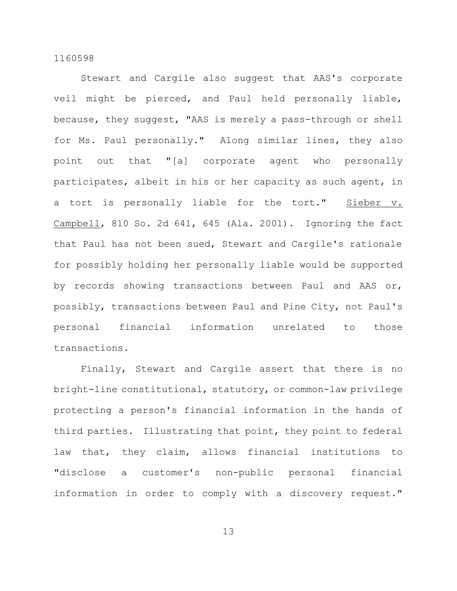Stewart and Cargile also suggest that AAS's corporate veil might be pierced, and Paul held personally liable, because, they suggest, "AAS is merely a pass-through or shell for Ms. Paul personally." Along similar lines, they also point out that "[a] corporate agent who personally participates, albeit in his or her capacity as such agent, in a tort is personally liable for the tort." Sieber v. Campbell, 810 So. 2d 641, 645 (Ala. 2001). Ignoring the fact that Paul has not been sued, Stewart and Cargile's rationale for possibly holding her personally liable would be supported by records showing transactions between Paul and AAS or, possibly, transactions between Paul and Pine City, not Paul's personal financial information unrelated to those transactions.

Finally, Stewart and Cargile assert that there is no bright-line constitutional, statutory, or common-law privilege protecting a person's financial information in the hands of third parties. Illustrating that point, they point to federal law that, they claim, allows financial institutions to "disclose a customer's non-public personal financial information in order to comply with a discovery request."